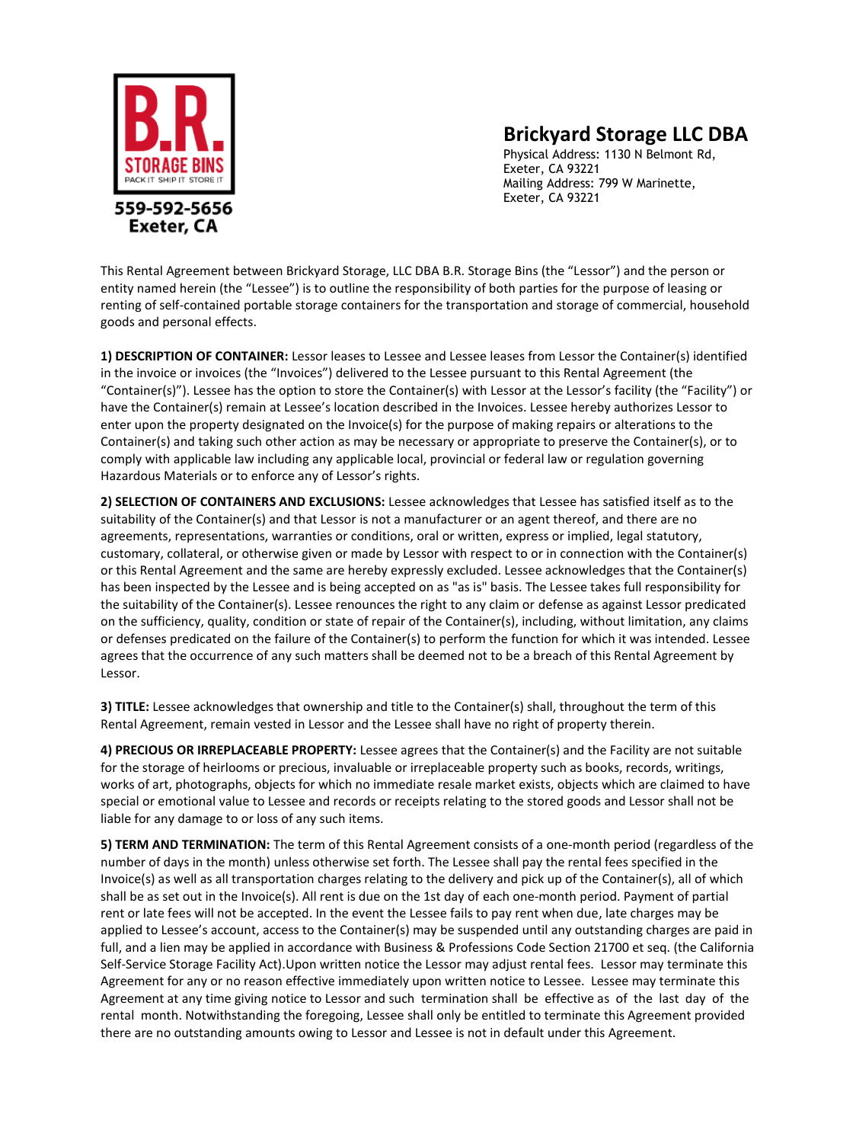

## **Brickyard Storage LLC DBA**

Physical Address: 1130 N Belmont Rd, Exeter, CA 93221 Mailing Address: 799 W Marinette, Exeter, CA 93221

This Rental Agreement between Brickyard Storage, LLC DBA B.R. Storage Bins (the "Lessor") and the person or entity named herein (the "Lessee") is to outline the responsibility of both parties for the purpose of leasing or renting of self-contained portable storage containers for the transportation and storage of commercial, household goods and personal effects.

**1) DESCRIPTION OF CONTAINER:** Lessor leases to Lessee and Lessee leases from Lessor the Container(s) identified in the invoice or invoices (the "Invoices") delivered to the Lessee pursuant to this Rental Agreement (the "Container(s)"). Lessee has the option to store the Container(s) with Lessor at the Lessor's facility (the "Facility") or have the Container(s) remain at Lessee's location described in the Invoices. Lessee hereby authorizes Lessor to enter upon the property designated on the Invoice(s) for the purpose of making repairs or alterations to the Container(s) and taking such other action as may be necessary or appropriate to preserve the Container(s), or to comply with applicable law including any applicable local, provincial or federal law or regulation governing Hazardous Materials or to enforce any of Lessor's rights.

**2) SELECTION OF CONTAINERS AND EXCLUSIONS:** Lessee acknowledges that Lessee has satisfied itself as to the suitability of the Container(s) and that Lessor is not a manufacturer or an agent thereof, and there are no agreements, representations, warranties or conditions, oral or written, express or implied, legal statutory, customary, collateral, or otherwise given or made by Lessor with respect to or in connection with the Container(s) or this Rental Agreement and the same are hereby expressly excluded. Lessee acknowledges that the Container(s) has been inspected by the Lessee and is being accepted on as "as is" basis. The Lessee takes full responsibility for the suitability of the Container(s). Lessee renounces the right to any claim or defense as against Lessor predicated on the sufficiency, quality, condition or state of repair of the Container(s), including, without limitation, any claims or defenses predicated on the failure of the Container(s) to perform the function for which it was intended. Lessee agrees that the occurrence of any such matters shall be deemed not to be a breach of this Rental Agreement by Lessor.

**3) TITLE:** Lessee acknowledges that ownership and title to the Container(s) shall, throughout the term of this Rental Agreement, remain vested in Lessor and the Lessee shall have no right of property therein.

**4) PRECIOUS OR IRREPLACEABLE PROPERTY:** Lessee agrees that the Container(s) and the Facility are not suitable for the storage of heirlooms or precious, invaluable or irreplaceable property such as books, records, writings, works of art, photographs, objects for which no immediate resale market exists, objects which are claimed to have special or emotional value to Lessee and records or receipts relating to the stored goods and Lessor shall not be liable for any damage to or loss of any such items.

**5) TERM AND TERMINATION:** The term of this Rental Agreement consists of a one-month period (regardless of the number of days in the month) unless otherwise set forth. The Lessee shall pay the rental fees specified in the Invoice(s) as well as all transportation charges relating to the delivery and pick up of the Container(s), all of which shall be as set out in the Invoice(s). All rent is due on the 1st day of each one-month period. Payment of partial rent or late fees will not be accepted. In the event the Lessee fails to pay rent when due, late charges may be applied to Lessee's account, access to the Container(s) may be suspended until any outstanding charges are paid in full, and a lien may be applied in accordance with Business & Professions Code Section 21700 et seq. (the California Self-Service Storage Facility Act).Upon written notice the Lessor may adjust rental fees. Lessor may terminate this Agreement for any or no reason effective immediately upon written notice to Lessee. Lessee may terminate this Agreement at any time giving notice to Lessor and such termination shall be effective as of the last day of the rental month. Notwithstanding the foregoing, Lessee shall only be entitled to terminate this Agreement provided there are no outstanding amounts owing to Lessor and Lessee is not in default under this Agreement.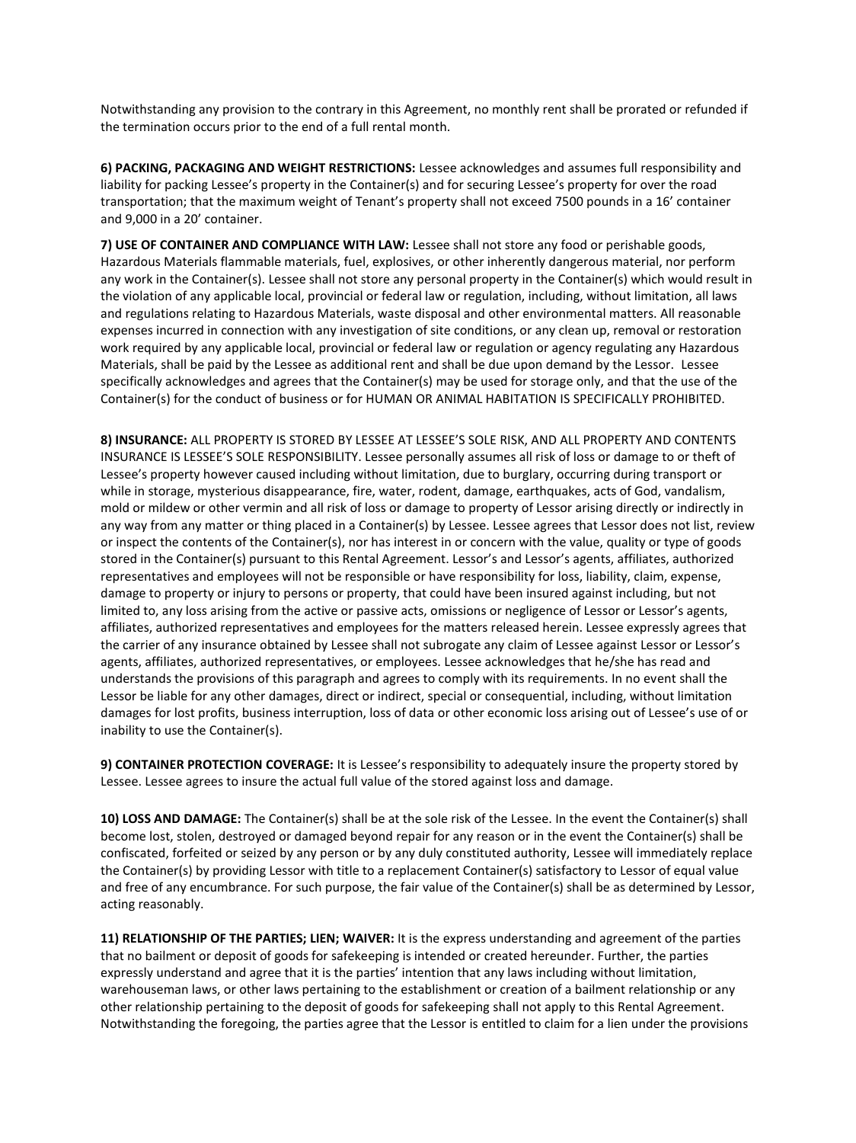Notwithstanding any provision to the contrary in this Agreement, no monthly rent shall be prorated or refunded if the termination occurs prior to the end of a full rental month.

**6) PACKING, PACKAGING AND WEIGHT RESTRICTIONS:** Lessee acknowledges and assumes full responsibility and liability for packing Lessee's property in the Container(s) and for securing Lessee's property for over the road transportation; that the maximum weight of Tenant's property shall not exceed 7500 pounds in a 16' container and 9,000 in a 20' container.

**7) USE OF CONTAINER AND COMPLIANCE WITH LAW:** Lessee shall not store any food or perishable goods, Hazardous Materials flammable materials, fuel, explosives, or other inherently dangerous material, nor perform any work in the Container(s). Lessee shall not store any personal property in the Container(s) which would result in the violation of any applicable local, provincial or federal law or regulation, including, without limitation, all laws and regulations relating to Hazardous Materials, waste disposal and other environmental matters. All reasonable expenses incurred in connection with any investigation of site conditions, or any clean up, removal or restoration work required by any applicable local, provincial or federal law or regulation or agency regulating any Hazardous Materials, shall be paid by the Lessee as additional rent and shall be due upon demand by the Lessor. Lessee specifically acknowledges and agrees that the Container(s) may be used for storage only, and that the use of the Container(s) for the conduct of business or for HUMAN OR ANIMAL HABITATION IS SPECIFICALLY PROHIBITED.

**8) INSURANCE:** ALL PROPERTY IS STORED BY LESSEE AT LESSEE'S SOLE RISK, AND ALL PROPERTY AND CONTENTS INSURANCE IS LESSEE'S SOLE RESPONSIBILITY. Lessee personally assumes all risk of loss or damage to or theft of Lessee's property however caused including without limitation, due to burglary, occurring during transport or while in storage, mysterious disappearance, fire, water, rodent, damage, earthquakes, acts of God, vandalism, mold or mildew or other vermin and all risk of loss or damage to property of Lessor arising directly or indirectly in any way from any matter or thing placed in a Container(s) by Lessee. Lessee agrees that Lessor does not list, review or inspect the contents of the Container(s), nor has interest in or concern with the value, quality or type of goods stored in the Container(s) pursuant to this Rental Agreement. Lessor's and Lessor's agents, affiliates, authorized representatives and employees will not be responsible or have responsibility for loss, liability, claim, expense, damage to property or injury to persons or property, that could have been insured against including, but not limited to, any loss arising from the active or passive acts, omissions or negligence of Lessor or Lessor's agents, affiliates, authorized representatives and employees for the matters released herein. Lessee expressly agrees that the carrier of any insurance obtained by Lessee shall not subrogate any claim of Lessee against Lessor or Lessor's agents, affiliates, authorized representatives, or employees. Lessee acknowledges that he/she has read and understands the provisions of this paragraph and agrees to comply with its requirements. In no event shall the Lessor be liable for any other damages, direct or indirect, special or consequential, including, without limitation damages for lost profits, business interruption, loss of data or other economic loss arising out of Lessee's use of or inability to use the Container(s).

**9) CONTAINER PROTECTION COVERAGE:** It is Lessee's responsibility to adequately insure the property stored by Lessee. Lessee agrees to insure the actual full value of the stored against loss and damage.

**10) LOSS AND DAMAGE:** The Container(s) shall be at the sole risk of the Lessee. In the event the Container(s) shall become lost, stolen, destroyed or damaged beyond repair for any reason or in the event the Container(s) shall be confiscated, forfeited or seized by any person or by any duly constituted authority, Lessee will immediately replace the Container(s) by providing Lessor with title to a replacement Container(s) satisfactory to Lessor of equal value and free of any encumbrance. For such purpose, the fair value of the Container(s) shall be as determined by Lessor, acting reasonably.

**11) RELATIONSHIP OF THE PARTIES; LIEN; WAIVER:** It is the express understanding and agreement of the parties that no bailment or deposit of goods for safekeeping is intended or created hereunder. Further, the parties expressly understand and agree that it is the parties' intention that any laws including without limitation, warehouseman laws, or other laws pertaining to the establishment or creation of a bailment relationship or any other relationship pertaining to the deposit of goods for safekeeping shall not apply to this Rental Agreement. Notwithstanding the foregoing, the parties agree that the Lessor is entitled to claim for a lien under the provisions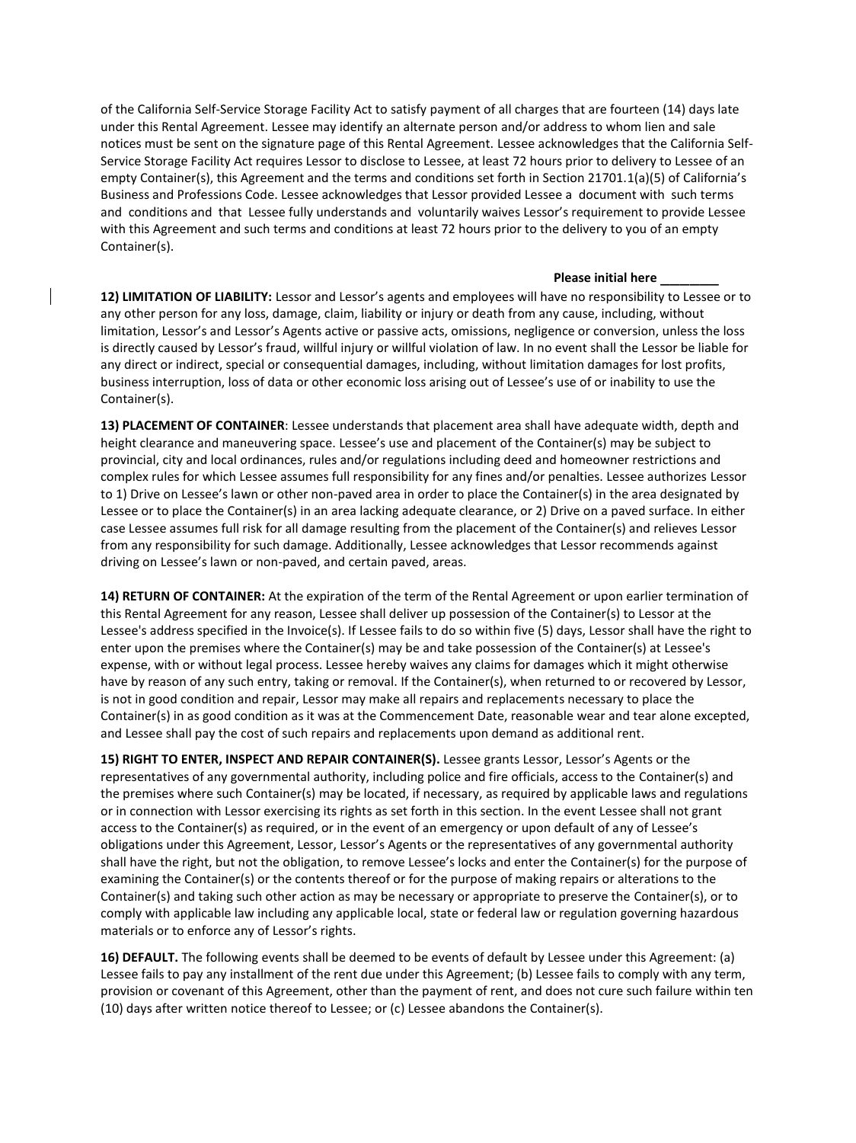of the California Self-Service Storage Facility Act to satisfy payment of all charges that are fourteen (14) days late under this Rental Agreement. Lessee may identify an alternate person and/or address to whom lien and sale notices must be sent on the signature page of this Rental Agreement. Lessee acknowledges that the California Self-Service Storage Facility Act requires Lessor to disclose to Lessee, at least 72 hours prior to delivery to Lessee of an empty Container(s), this Agreement and the terms and conditions set forth in Section 21701.1(a)(5) of California's Business and Professions Code. Lessee acknowledges that Lessor provided Lessee a document with such terms and conditions and that Lessee fully understands and voluntarily waives Lessor's requirement to provide Lessee with this Agreement and such terms and conditions at least 72 hours prior to the delivery to you of an empty Container(s).

## **Please initial here** \_\_\_\_\_\_

**12) LIMITATION OF LIABILITY:** Lessor and Lessor's agents and employees will have no responsibility to Lessee or to any other person for any loss, damage, claim, liability or injury or death from any cause, including, without limitation, Lessor's and Lessor's Agents active or passive acts, omissions, negligence or conversion, unless the loss is directly caused by Lessor's fraud, willful injury or willful violation of law. In no event shall the Lessor be liable for any direct or indirect, special or consequential damages, including, without limitation damages for lost profits, business interruption, loss of data or other economic loss arising out of Lessee's use of or inability to use the Container(s).

**13) PLACEMENT OF CONTAINER**: Lessee understands that placement area shall have adequate width, depth and height clearance and maneuvering space. Lessee's use and placement of the Container(s) may be subject to provincial, city and local ordinances, rules and/or regulations including deed and homeowner restrictions and complex rules for which Lessee assumes full responsibility for any fines and/or penalties. Lessee authorizes Lessor to 1) Drive on Lessee's lawn or other non-paved area in order to place the Container(s) in the area designated by Lessee or to place the Container(s) in an area lacking adequate clearance, or 2) Drive on a paved surface. In either case Lessee assumes full risk for all damage resulting from the placement of the Container(s) and relieves Lessor from any responsibility for such damage. Additionally, Lessee acknowledges that Lessor recommends against driving on Lessee's lawn or non-paved, and certain paved, areas.

**14) RETURN OF CONTAINER:** At the expiration of the term of the Rental Agreement or upon earlier termination of this Rental Agreement for any reason, Lessee shall deliver up possession of the Container(s) to Lessor at the Lessee's address specified in the Invoice(s). If Lessee fails to do so within five (5) days, Lessor shall have the right to enter upon the premises where the Container(s) may be and take possession of the Container(s) at Lessee's expense, with or without legal process. Lessee hereby waives any claims for damages which it might otherwise have by reason of any such entry, taking or removal. If the Container(s), when returned to or recovered by Lessor, is not in good condition and repair, Lessor may make all repairs and replacements necessary to place the Container(s) in as good condition as it was at the Commencement Date, reasonable wear and tear alone excepted, and Lessee shall pay the cost of such repairs and replacements upon demand as additional rent.

**15) RIGHT TO ENTER, INSPECT AND REPAIR CONTAINER(S).** Lessee grants Lessor, Lessor's Agents or the representatives of any governmental authority, including police and fire officials, access to the Container(s) and the premises where such Container(s) may be located, if necessary, as required by applicable laws and regulations or in connection with Lessor exercising its rights as set forth in this section. In the event Lessee shall not grant access to the Container(s) as required, or in the event of an emergency or upon default of any of Lessee's obligations under this Agreement, Lessor, Lessor's Agents or the representatives of any governmental authority shall have the right, but not the obligation, to remove Lessee's locks and enter the Container(s) for the purpose of examining the Container(s) or the contents thereof or for the purpose of making repairs or alterations to the Container(s) and taking such other action as may be necessary or appropriate to preserve the Container(s), or to comply with applicable law including any applicable local, state or federal law or regulation governing hazardous materials or to enforce any of Lessor's rights.

**16) DEFAULT.** The following events shall be deemed to be events of default by Lessee under this Agreement: (a) Lessee fails to pay any installment of the rent due under this Agreement; (b) Lessee fails to comply with any term, provision or covenant of this Agreement, other than the payment of rent, and does not cure such failure within ten (10) days after written notice thereof to Lessee; or (c) Lessee abandons the Container(s).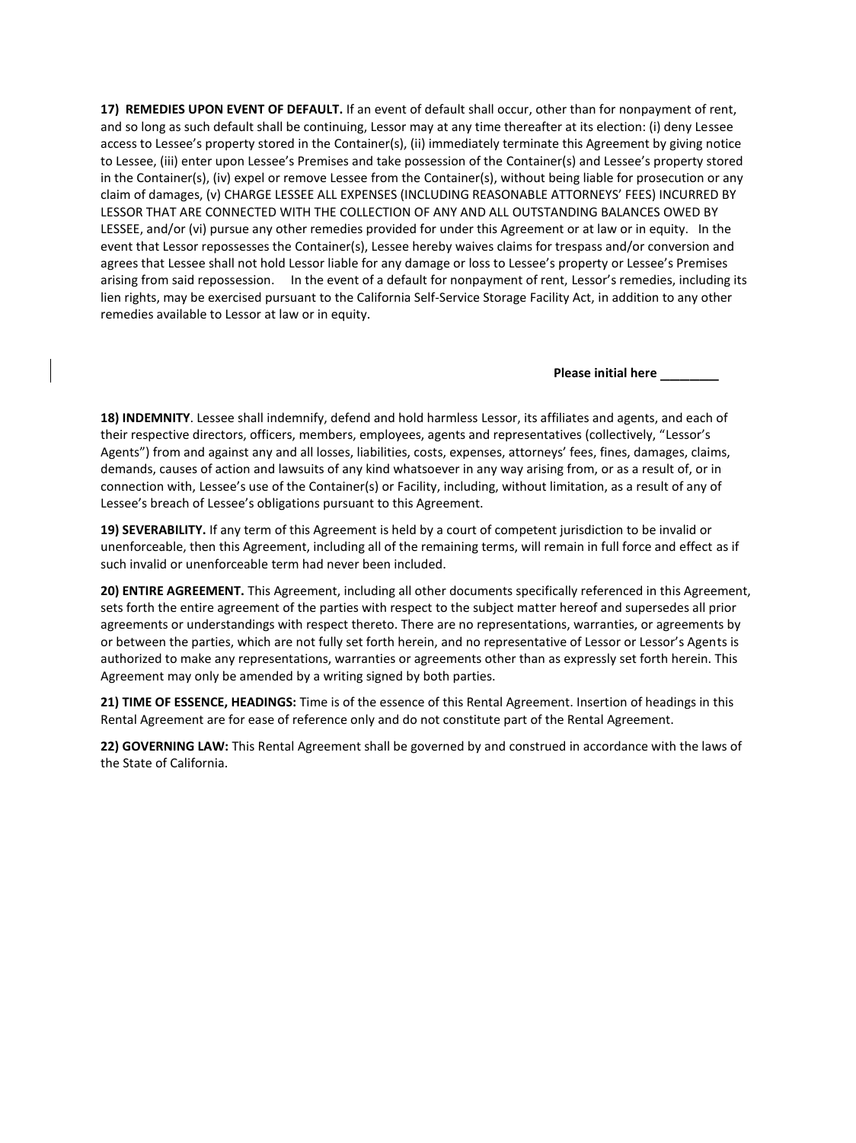**17) REMEDIES UPON EVENT OF DEFAULT.** If an event of default shall occur, other than for nonpayment of rent, and so long as such default shall be continuing, Lessor may at any time thereafter at its election: (i) deny Lessee access to Lessee's property stored in the Container(s), (ii) immediately terminate this Agreement by giving notice to Lessee, (iii) enter upon Lessee's Premises and take possession of the Container(s) and Lessee's property stored in the Container(s), (iv) expel or remove Lessee from the Container(s), without being liable for prosecution or any claim of damages, (v) CHARGE LESSEE ALL EXPENSES (INCLUDING REASONABLE ATTORNEYS' FEES) INCURRED BY LESSOR THAT ARE CONNECTED WITH THE COLLECTION OF ANY AND ALL OUTSTANDING BALANCES OWED BY LESSEE, and/or (vi) pursue any other remedies provided for under this Agreement or at law or in equity. In the event that Lessor repossesses the Container(s), Lessee hereby waives claims for trespass and/or conversion and agrees that Lessee shall not hold Lessor liable for any damage or loss to Lessee's property or Lessee's Premises arising from said repossession. In the event of a default for nonpayment of rent, Lessor's remedies, including its lien rights, may be exercised pursuant to the California Self-Service Storage Facility Act, in addition to any other remedies available to Lessor at law or in equity.

**Please initial here** \_\_\_\_\_\_

**18) INDEMNITY**. Lessee shall indemnify, defend and hold harmless Lessor, its affiliates and agents, and each of their respective directors, officers, members, employees, agents and representatives (collectively, "Lessor's Agents") from and against any and all losses, liabilities, costs, expenses, attorneys' fees, fines, damages, claims, demands, causes of action and lawsuits of any kind whatsoever in any way arising from, or as a result of, or in connection with, Lessee's use of the Container(s) or Facility, including, without limitation, as a result of any of Lessee's breach of Lessee's obligations pursuant to this Agreement.

**19) SEVERABILITY.** If any term of this Agreement is held by a court of competent jurisdiction to be invalid or unenforceable, then this Agreement, including all of the remaining terms, will remain in full force and effect as if such invalid or unenforceable term had never been included.

**20) ENTIRE AGREEMENT.** This Agreement, including all other documents specifically referenced in this Agreement, sets forth the entire agreement of the parties with respect to the subject matter hereof and supersedes all prior agreements or understandings with respect thereto. There are no representations, warranties, or agreements by or between the parties, which are not fully set forth herein, and no representative of Lessor or Lessor's Agents is authorized to make any representations, warranties or agreements other than as expressly set forth herein. This Agreement may only be amended by a writing signed by both parties.

**21) TIME OF ESSENCE, HEADINGS:** Time is of the essence of this Rental Agreement. Insertion of headings in this Rental Agreement are for ease of reference only and do not constitute part of the Rental Agreement.

**22) GOVERNING LAW:** This Rental Agreement shall be governed by and construed in accordance with the laws of the State of California.